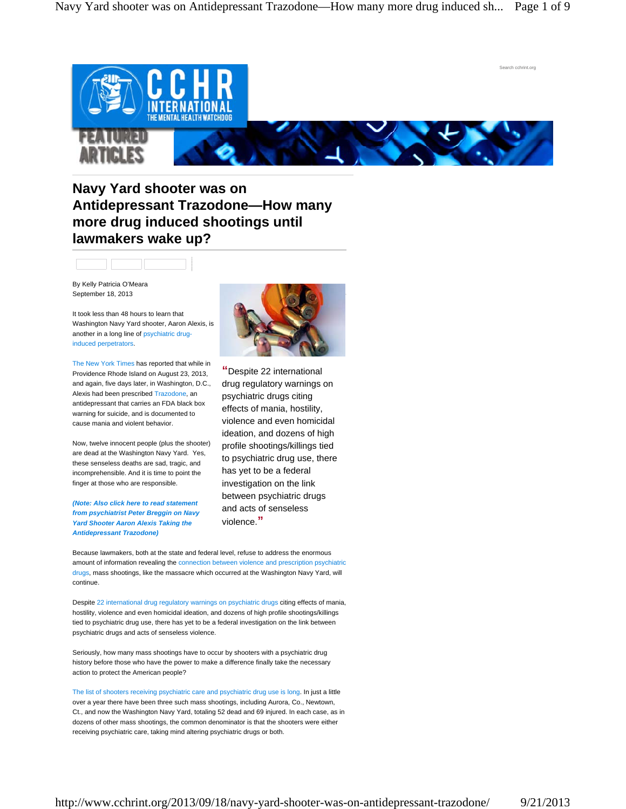

## **Navy Yard shooter was on Antidepressant Trazodone—How many more drug induced shootings until lawmakers wake up?**

By Kelly Patricia O'Meara September 18, 2013

It took less than 48 hours to learn that Washington Navy Yard shooter, Aaron Alexis, is another in a long line of psychiatric druginduced perpetrators.

The New York Times has reported that while in Providence Rhode Island on August 23, 2013, and again, five days later, in Washington, D.C., Alexis had been prescribed Trazodone, an antidepressant that carries an FDA black box warning for suicide, and is documented to cause mania and violent behavior.

Now, twelve innocent people (plus the shooter) are dead at the Washington Navy Yard. Yes, these senseless deaths are sad, tragic, and incomprehensible. And it is time to point the finger at those who are responsible.

*(Note: Also click here to read statement from psychiatrist Peter Breggin on Navy Yard Shooter Aaron Alexis Taking the Antidepressant Trazodone)*



**"**Despite 22 international drug regulatory warnings on psychiatric drugs citing effects of mania, hostility, violence and even homicidal ideation, and dozens of high profile shootings/killings tied to psychiatric drug use, there has yet to be a federal investigation on the link between psychiatric drugs and acts of senseless violence.**"**

Because lawmakers, both at the state and federal level, refuse to address the enormous amount of information revealing the connection between violence and prescription psychiatric drugs, mass shootings, like the massacre which occurred at the Washington Navy Yard, will continue.

Despite 22 international drug regulatory warnings on psychiatric drugs citing effects of mania, hostility, violence and even homicidal ideation, and dozens of high profile shootings/killings tied to psychiatric drug use, there has yet to be a federal investigation on the link between psychiatric drugs and acts of senseless violence.

Seriously, how many mass shootings have to occur by shooters with a psychiatric drug history before those who have the power to make a difference finally take the necessary action to protect the American people?

The list of shooters receiving psychiatric care and psychiatric drug use is long. In just a little over a year there have been three such mass shootings, including Aurora, Co., Newtown, Ct., and now the Washington Navy Yard, totaling 52 dead and 69 injured. In each case, as in dozens of other mass shootings, the common denominator is that the shooters were either receiving psychiatric care, taking mind altering psychiatric drugs or both.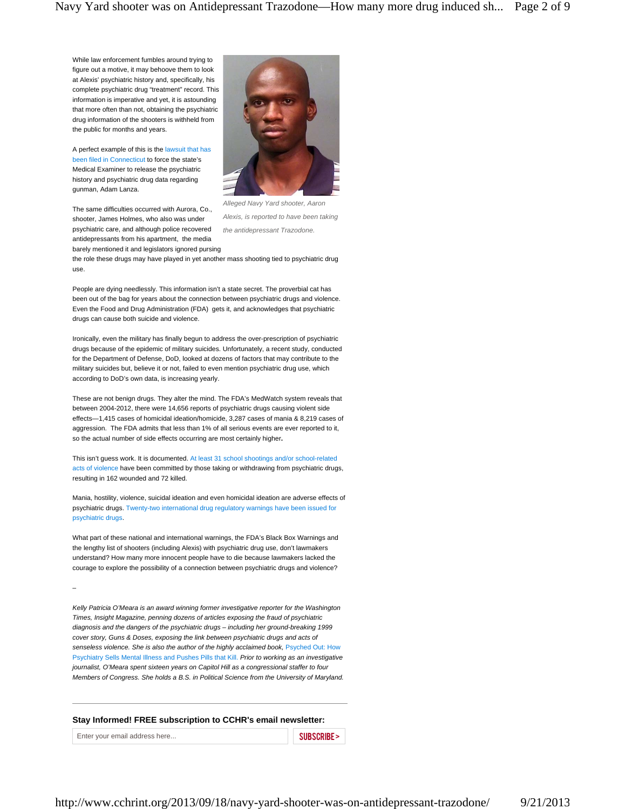While law enforcement fumbles around trying to figure out a motive, it may behoove them to look at Alexis' psychiatric history and, specifically, his complete psychiatric drug "treatment" record. This information is imperative and yet, it is astounding that more often than not, obtaining the psychiatric drug information of the shooters is withheld from the public for months and years.

A perfect example of this is the lawsuit that has been filed in Connecticut to force the state's Medical Examiner to release the psychiatric history and psychiatric drug data regarding gunman, Adam Lanza.

The same difficulties occurred with Aurora, Co., shooter, James Holmes, who also was under psychiatric care, and although police recovered antidepressants from his apartment, the media barely mentioned it and legislators ignored pursing



*Alleged Navy Yard shooter, Aaron Alexis, is reported to have been taking the antidepressant Trazodone.*

the role these drugs may have played in yet another mass shooting tied to psychiatric drug use.

People are dying needlessly. This information isn't a state secret. The proverbial cat has been out of the bag for years about the connection between psychiatric drugs and violence. Even the Food and Drug Administration (FDA) gets it, and acknowledges that psychiatric drugs can cause both suicide and violence.

Ironically, even the military has finally begun to address the over-prescription of psychiatric drugs because of the epidemic of military suicides. Unfortunately, a recent study, conducted for the Department of Defense, DoD, looked at dozens of factors that may contribute to the military suicides but, believe it or not, failed to even mention psychiatric drug use, which according to DoD's own data, is increasing yearly.

These are not benign drugs. They alter the mind. The FDA's MedWatch system reveals that between 2004-2012, there were 14,656 reports of psychiatric drugs causing violent side effects—1,415 cases of homicidal ideation/homicide, 3,287 cases of mania & 8,219 cases of aggression. The FDA admits that less than 1% of all serious events are ever reported to it, so the actual number of side effects occurring are most certainly higher**.**

This isn't guess work. It is documented. At least 31 school shootings and/or school-related acts of violence have been committed by those taking or withdrawing from psychiatric drugs, resulting in 162 wounded and 72 killed.

Mania, hostility, violence, suicidal ideation and even homicidal ideation are adverse effects of psychiatric drugs. Twenty-two international drug regulatory warnings have been issued for psychiatric drugs.

What part of these national and international warnings, the FDA's Black Box Warnings and the lengthy list of shooters (including Alexis) with psychiatric drug use, don't lawmakers understand? How many more innocent people have to die because lawmakers lacked the courage to explore the possibility of a connection between psychiatric drugs and violence?

–

*Kelly Patricia O'Meara is an award winning former investigative reporter for the Washington Times, Insight Magazine, penning dozens of articles exposing the fraud of psychiatric diagnosis and the dangers of the psychiatric drugs – including her ground-breaking 1999 cover story, Guns & Doses, exposing the link between psychiatric drugs and acts of*  senseless violence. She is also the author of the highly acclaimed book, Psyched Out: How Psychiatry Sells Mental Illness and Pushes Pills that Kill. *Prior to working as an investigative journalist, O'Meara spent sixteen years on Capitol Hill as a congressional staffer to four Members of Congress. She holds a B.S. in Political Science from the University of Maryland.*

## **Stay Informed! FREE subscription to CCHR's email newsletter:**

Enter your email address here... Subset of the subset of the subset of the subset of the subset of the subset of the subset of the subset of the subset of the subset of the subset of the subset of the subset of the subset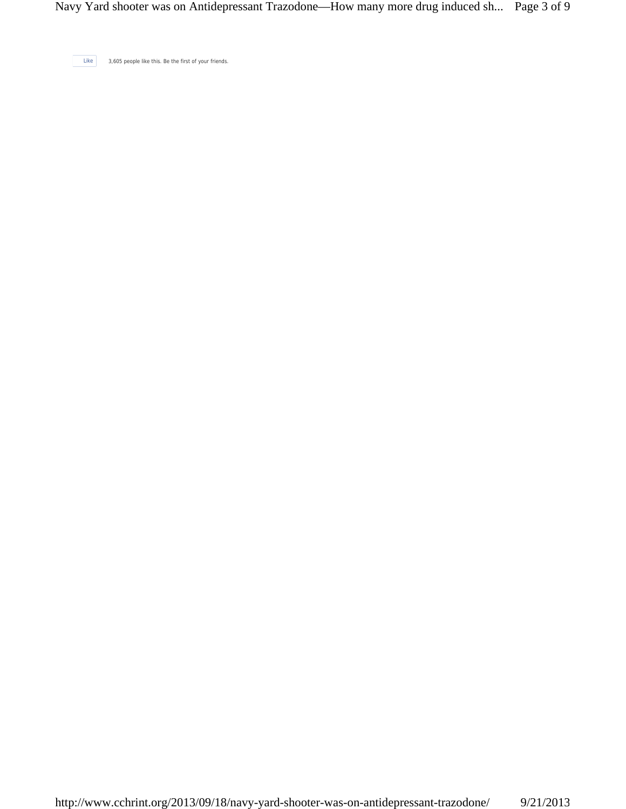Like 3,605 people like this. Be the first of your friends.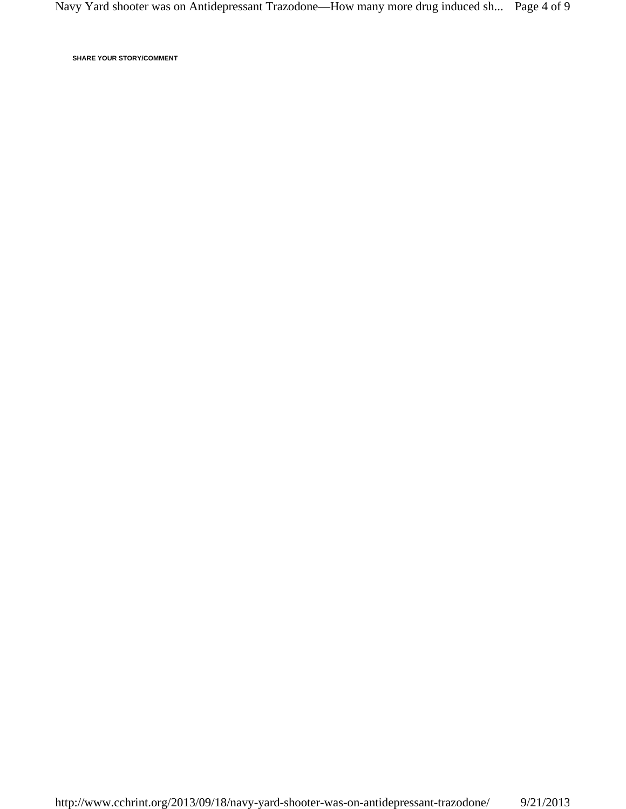**SHARE YOUR STORY/COMMENT**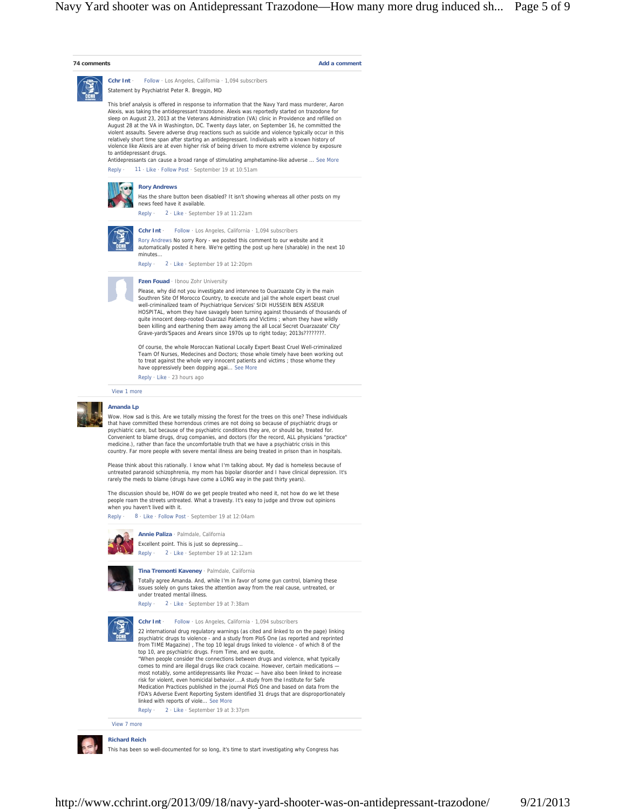



**Richard Reich**

This has been so well-documented for so long, it's time to start investigating why Congress has